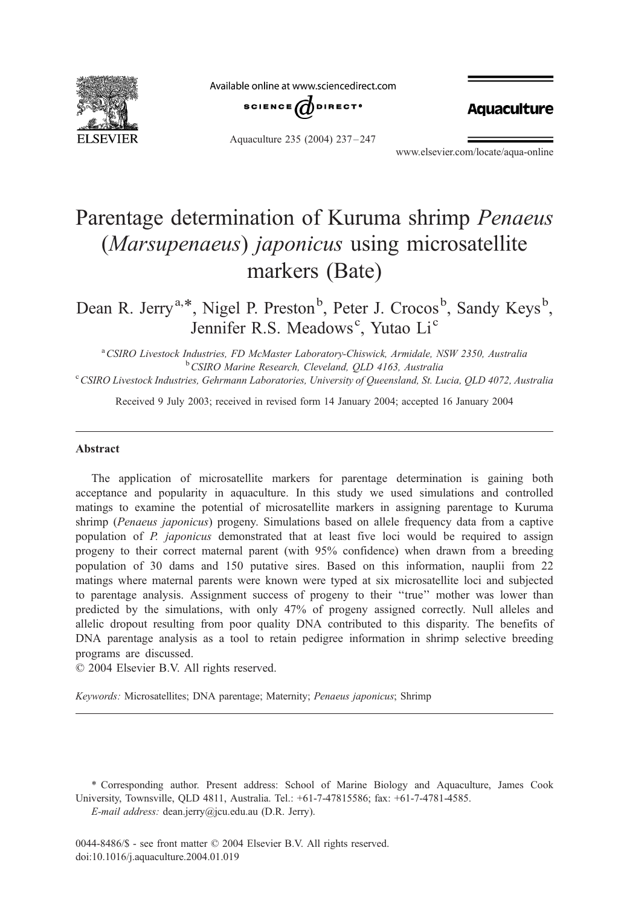

Available online at www.sciencedirect.com



**Aquaculture** 

Aquaculture 235 (2004) 237 – 247

www.elsevier.com/locate/aqua-online

# Parentage determination of Kuruma shrimp Penaeus (Marsupenaeus) japonicus using microsatellite markers (Bate)

Dean R. Jerry<sup>a,\*</sup>, Nigel P. Preston<sup>b</sup>, Peter J. Crocos<sup>b</sup>, Sandy Keys<sup>b</sup>, Jennifer R.S. Meadows<sup>c</sup>, Yutao Li<sup>c</sup>

<sup>a</sup> CSIRO Livestock Industries, FD McMaster Laboratory-Chiswick, Armidale, NSW 2350, Australia<br><sup>b</sup> CSIRO Marine Research Claveland, OLD 4163, Australia <sup>b</sup> CSIRO Marine Research, Cleveland, QLD 4163, Australia <sup>c</sup> CSIRO Livestock Industries, Gehrmann Laboratories, University of Queensland, St. Lucia, OLD 4072, Australia

Received 9 July 2003; received in revised form 14 January 2004; accepted 16 January 2004

## Abstract

The application of microsatellite markers for parentage determination is gaining both acceptance and popularity in aquaculture. In this study we used simulations and controlled matings to examine the potential of microsatellite markers in assigning parentage to Kuruma shrimp (Penaeus japonicus) progeny. Simulations based on allele frequency data from a captive population of P. japonicus demonstrated that at least five loci would be required to assign progeny to their correct maternal parent (with 95% confidence) when drawn from a breeding population of 30 dams and 150 putative sires. Based on this information, nauplii from 22 matings where maternal parents were known were typed at six microsatellite loci and subjected to parentage analysis. Assignment success of progeny to their ''true'' mother was lower than predicted by the simulations, with only 47% of progeny assigned correctly. Null alleles and allelic dropout resulting from poor quality DNA contributed to this disparity. The benefits of DNA parentage analysis as a tool to retain pedigree information in shrimp selective breeding programs are discussed.

 $\odot$  2004 Elsevier B.V. All rights reserved.

Keywords: Microsatellites; DNA parentage; Maternity; Penaeus japonicus; Shrimp

\* Corresponding author. Present address: School of Marine Biology and Aquaculture, James Cook University, Townsville, QLD 4811, Australia. Tel.: +61-7-47815586; fax: +61-7-4781-4585.

E-mail address: dean.jerry@jcu.edu.au (D.R. Jerry).

0044-8486/\$ - see front matter © 2004 Elsevier B.V. All rights reserved. doi:10.1016/j.aquaculture.2004.01.019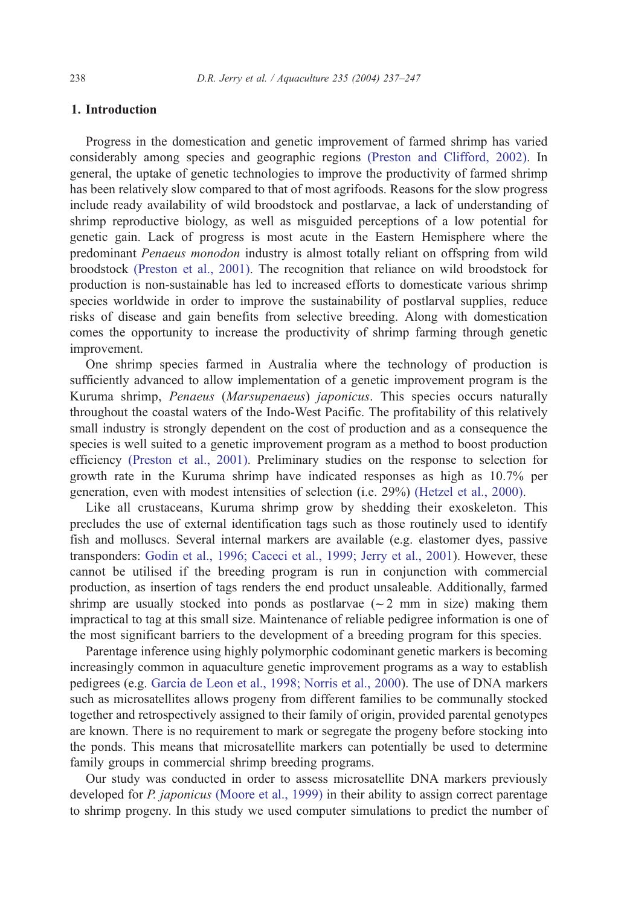# 1. Introduction

Progress in the domestication and genetic improvement of farmed shrimp has varied considerably among species and geographic regions [\(Preston and Clifford, 2002\).](#page-9-0) In general, the uptake of genetic technologies to improve the productivity of farmed shrimp has been relatively slow compared to that of most agrifoods. Reasons for the slow progress include ready availability of wild broodstock and postlarvae, a lack of understanding of shrimp reproductive biology, as well as misguided perceptions of a low potential for genetic gain. Lack of progress is most acute in the Eastern Hemisphere where the predominant Penaeus monodon industry is almost totally reliant on offspring from wild broodstock [\(Preston et al., 2001\).](#page-9-0) The recognition that reliance on wild broodstock for production is non-sustainable has led to increased efforts to domesticate various shrimp species worldwide in order to improve the sustainability of postlarval supplies, reduce risks of disease and gain benefits from selective breeding. Along with domestication comes the opportunity to increase the productivity of shrimp farming through genetic improvement.

One shrimp species farmed in Australia where the technology of production is sufficiently advanced to allow implementation of a genetic improvement program is the Kuruma shrimp, Penaeus (Marsupenaeus) japonicus. This species occurs naturally throughout the coastal waters of the Indo-West Pacific. The profitability of this relatively small industry is strongly dependent on the cost of production and as a consequence the species is well suited to a genetic improvement program as a method to boost production efficiency [\(Preston et al., 2001\).](#page-9-0) Preliminary studies on the response to selection for growth rate in the Kuruma shrimp have indicated responses as high as 10.7% per generation, even with modest intensities of selection (i.e. 29%) [\(Hetzel et al., 2000\).](#page-9-0)

Like all crustaceans, Kuruma shrimp grow by shedding their exoskeleton. This precludes the use of external identification tags such as those routinely used to identify fish and molluscs. Several internal markers are available (e.g. elastomer dyes, passive transponders: [Godin et al., 1996; Caceci et al., 1999; Jerry et al., 2001\)](#page-9-0). However, these cannot be utilised if the breeding program is run in conjunction with commercial production, as insertion of tags renders the end product unsaleable. Additionally, farmed shrimp are usually stocked into ponds as postlarvae  $(-2 \text{ mm in size})$  making them impractical to tag at this small size. Maintenance of reliable pedigree information is one of the most significant barriers to the development of a breeding program for this species.

Parentage inference using highly polymorphic codominant genetic markers is becoming increasingly common in aquaculture genetic improvement programs as a way to establish pedigrees (e.g. [Garcia de Leon et al., 1998; Norris et al., 2000\)](#page-9-0). The use of DNA markers such as microsatellites allows progeny from different families to be communally stocked together and retrospectively assigned to their family of origin, provided parental genotypes are known. There is no requirement to mark or segregate the progeny before stocking into the ponds. This means that microsatellite markers can potentially be used to determine family groups in commercial shrimp breeding programs.

Our study was conducted in order to assess microsatellite DNA markers previously developed for P. japonicus [\(Moore et al., 1999\)](#page-9-0) in their ability to assign correct parentage to shrimp progeny. In this study we used computer simulations to predict the number of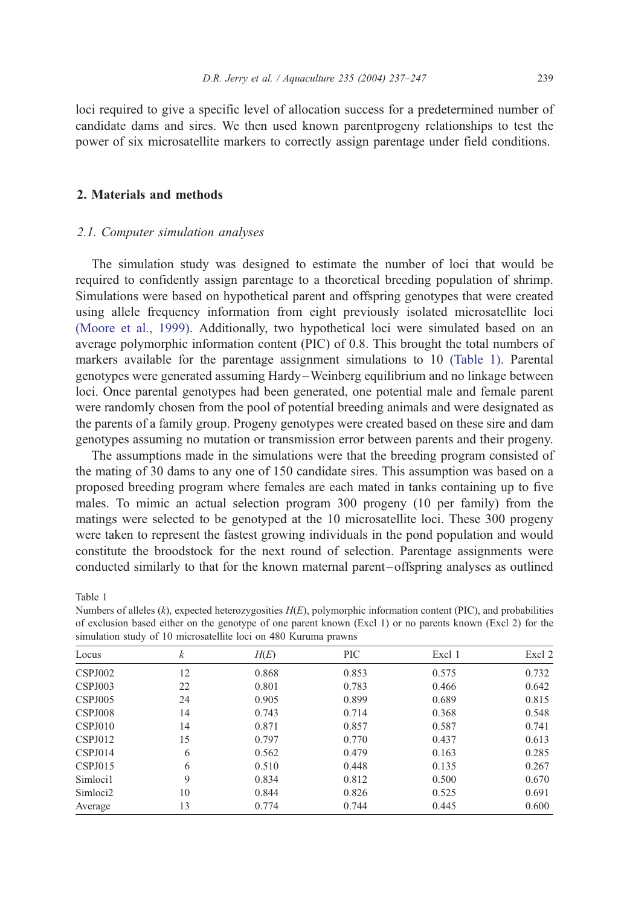<span id="page-2-0"></span>loci required to give a specific level of allocation success for a predetermined number of candidate dams and sires. We then used known parentprogeny relationships to test the power of six microsatellite markers to correctly assign parentage under field conditions.

## 2. Materials and methods

#### 2.1. Computer simulation analyses

The simulation study was designed to estimate the number of loci that would be required to confidently assign parentage to a theoretical breeding population of shrimp. Simulations were based on hypothetical parent and offspring genotypes that were created using allele frequency information from eight previously isolated microsatellite loci [\(Moore et al., 1999\).](#page-9-0) Additionally, two hypothetical loci were simulated based on an average polymorphic information content (PIC) of 0.8. This brought the total numbers of markers available for the parentage assignment simulations to 10 (Table 1). Parental genotypes were generated assuming Hardy –Weinberg equilibrium and no linkage between loci. Once parental genotypes had been generated, one potential male and female parent were randomly chosen from the pool of potential breeding animals and were designated as the parents of a family group. Progeny genotypes were created based on these sire and dam genotypes assuming no mutation or transmission error between parents and their progeny.

The assumptions made in the simulations were that the breeding program consisted of the mating of 30 dams to any one of 150 candidate sires. This assumption was based on a proposed breeding program where females are each mated in tanks containing up to five males. To mimic an actual selection program 300 progeny (10 per family) from the matings were selected to be genotyped at the 10 microsatellite loci. These 300 progeny were taken to represent the fastest growing individuals in the pond population and would constitute the broodstock for the next round of selection. Parentage assignments were conducted similarly to that for the known maternal parent – offspring analyses as outlined

Table 1

| Locus                | k  | H(E)  | PIC   | Excl 1 | Excl 2 |
|----------------------|----|-------|-------|--------|--------|
|                      |    |       |       |        |        |
| CSPJ002              | 12 | 0.868 | 0.853 | 0.575  | 0.732  |
| CSPJ003              | 22 | 0.801 | 0.783 | 0.466  | 0.642  |
| CSPJ005              | 24 | 0.905 | 0.899 | 0.689  | 0.815  |
| CSPJ008              | 14 | 0.743 | 0.714 | 0.368  | 0.548  |
| CSPJ010              | 14 | 0.871 | 0.857 | 0.587  | 0.741  |
| CSPJ012              | 15 | 0.797 | 0.770 | 0.437  | 0.613  |
| CSPJ014              | 6  | 0.562 | 0.479 | 0.163  | 0.285  |
| CSPJ015              | 6  | 0.510 | 0.448 | 0.135  | 0.267  |
| Simloci1             | 9  | 0.834 | 0.812 | 0.500  | 0.670  |
| Simloci <sub>2</sub> | 10 | 0.844 | 0.826 | 0.525  | 0.691  |
| Average              | 13 | 0.774 | 0.744 | 0.445  | 0.600  |

Numbers of alleles  $(k)$ , expected heterozygosities  $H(E)$ , polymorphic information content (PIC), and probabilities of exclusion based either on the genotype of one parent known (Excl 1) or no parents known (Excl 2) for the simulation study of 10 microsatellite loci on 480 Kuruma prawns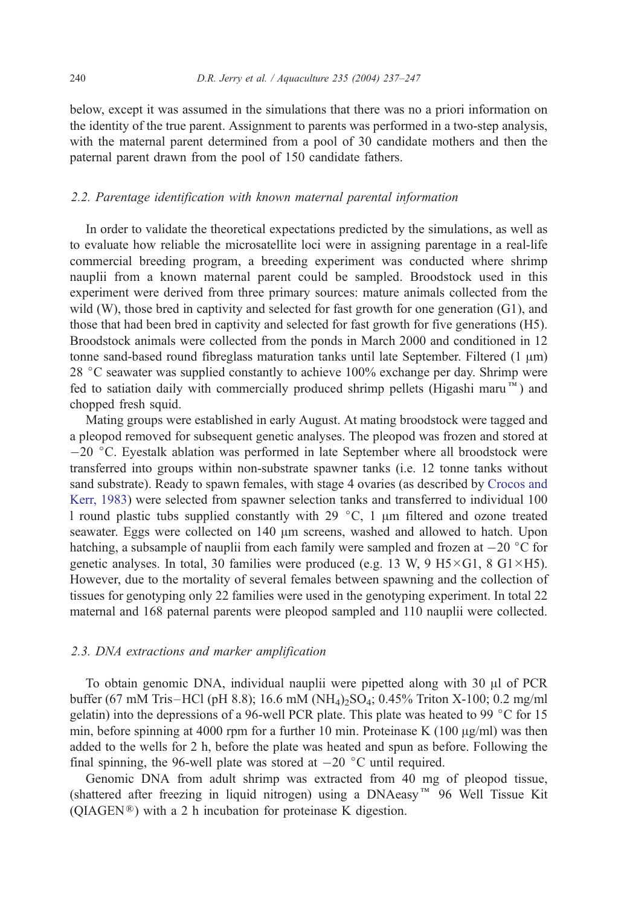below, except it was assumed in the simulations that there was no a priori information on the identity of the true parent. Assignment to parents was performed in a two-step analysis, with the maternal parent determined from a pool of 30 candidate mothers and then the paternal parent drawn from the pool of 150 candidate fathers.

## 2.2. Parentage identification with known maternal parental information

In order to validate the theoretical expectations predicted by the simulations, as well as to evaluate how reliable the microsatellite loci were in assigning parentage in a real-life commercial breeding program, a breeding experiment was conducted where shrimp nauplii from a known maternal parent could be sampled. Broodstock used in this experiment were derived from three primary sources: mature animals collected from the wild (W), those bred in captivity and selected for fast growth for one generation (G1), and those that had been bred in captivity and selected for fast growth for five generations (H5). Broodstock animals were collected from the ponds in March 2000 and conditioned in 12 tonne sand-based round fibreglass maturation tanks until late September. Filtered  $(1 \mu m)$ 28 °C seawater was supplied constantly to achieve 100% exchange per day. Shrimp were fed to satiation daily with commercially produced shrimp pellets (Higashi maru<sup>M</sup>) and chopped fresh squid.

Mating groups were established in early August. At mating broodstock were tagged and a pleopod removed for subsequent genetic analyses. The pleopod was frozen and stored at  $-20$  °C. Eyestalk ablation was performed in late September where all broodstock were transferred into groups within non-substrate spawner tanks (i.e. 12 tonne tanks without sand substrate). Ready to spawn females, with stage 4 ovaries (as described by [Crocos and](#page-9-0) Kerr, 1983) were selected from spawner selection tanks and transferred to individual 100 l round plastic tubs supplied constantly with 29  $^{\circ}$ C, 1  $\mu$ m filtered and ozone treated seawater. Eggs were collected on 140  $\mu$ m screens, washed and allowed to hatch. Upon hatching, a subsample of nauplii from each family were sampled and frozen at  $-20$  °C for genetic analyses. In total, 30 families were produced (e.g. 13 W, 9  $H5 \times G1$ , 8  $G1 \times H5$ ). However, due to the mortality of several females between spawning and the collection of tissues for genotyping only 22 families were used in the genotyping experiment. In total 22 maternal and 168 paternal parents were pleopod sampled and 110 nauplii were collected.

## 2.3. DNA extractions and marker amplification

To obtain genomic DNA, individual nauplii were pipetted along with 30 µl of PCR buffer (67 mM Tris-HCl (pH 8.8); 16.6 mM (NH<sub>4</sub>)<sub>2</sub>SO<sub>4</sub>; 0.45% Triton X-100; 0.2 mg/ml gelatin) into the depressions of a 96-well PCR plate. This plate was heated to 99  $^{\circ}$ C for 15 min, before spinning at 4000 rpm for a further 10 min. Proteinase K (100  $\mu$ g/ml) was then added to the wells for 2 h, before the plate was heated and spun as before. Following the final spinning, the 96-well plate was stored at  $-20$  °C until required.

Genomic DNA from adult shrimp was extracted from 40 mg of pleopod tissue, (shattered after freezing in liquid nitrogen) using a DNAeasy<sup> $M$ </sup> 96 Well Tissue Kit  $(QIAGEN^{\circledR})$  with a 2 h incubation for proteinase K digestion.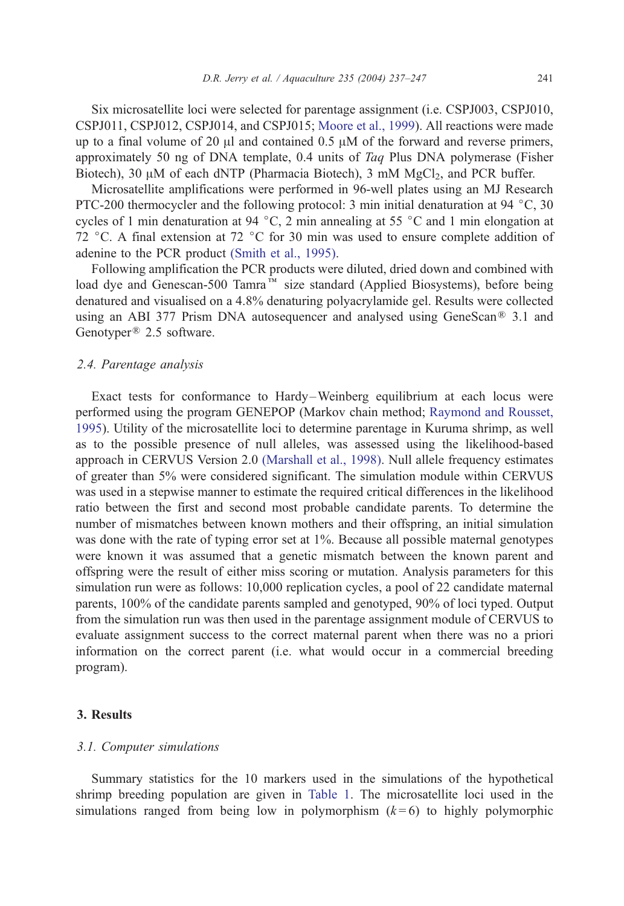Six microsatellite loci were selected for parentage assignment (i.e. CSPJ003, CSPJ010, CSPJ011, CSPJ012, CSPJ014, and CSPJ015; [Moore et al., 1999\)](#page-9-0). All reactions were made up to a final volume of 20  $\mu$ l and contained 0.5  $\mu$ M of the forward and reverse primers, approximately 50 ng of DNA template, 0.4 units of Taq Plus DNA polymerase (Fisher Biotech), 30  $\mu$ M of each dNTP (Pharmacia Biotech), 3 mM MgCl<sub>2</sub>, and PCR buffer.

Microsatellite amplifications were performed in 96-well plates using an MJ Research PTC-200 thermocycler and the following protocol: 3 min initial denaturation at 94  $^{\circ}$ C, 30 cycles of 1 min denaturation at 94  $\degree$ C, 2 min annealing at 55  $\degree$ C and 1 min elongation at 72 °C. A final extension at 72 °C for 30 min was used to ensure complete addition of adenine to the PCR product [\(Smith et al., 1995\).](#page-9-0)

Following amplification the PCR products were diluted, dried down and combined with load dye and Genescan-500 Tamra<sup>TM</sup> size standard (Applied Biosystems), before being denatured and visualised on a 4.8% denaturing polyacrylamide gel. Results were collected using an ABI 377 Prism DNA autosequencer and analysed using GeneScan<sup>®</sup> 3.1 and Genotyper<sup>®</sup> 2.5 software.

## 2.4. Parentage analysis

Exact tests for conformance to Hardy –Weinberg equilibrium at each locus were performed using the program GENEPOP (Markov chain method; [Raymond and Rousset,](#page-9-0) 1995). Utility of the microsatellite loci to determine parentage in Kuruma shrimp, as well as to the possible presence of null alleles, was assessed using the likelihood-based approach in CERVUS Version 2.0 [\(Marshall et al., 1998\).](#page-9-0) Null allele frequency estimates of greater than 5% were considered significant. The simulation module within CERVUS was used in a stepwise manner to estimate the required critical differences in the likelihood ratio between the first and second most probable candidate parents. To determine the number of mismatches between known mothers and their offspring, an initial simulation was done with the rate of typing error set at 1%. Because all possible maternal genotypes were known it was assumed that a genetic mismatch between the known parent and offspring were the result of either miss scoring or mutation. Analysis parameters for this simulation run were as follows: 10,000 replication cycles, a pool of 22 candidate maternal parents, 100% of the candidate parents sampled and genotyped, 90% of loci typed. Output from the simulation run was then used in the parentage assignment module of CERVUS to evaluate assignment success to the correct maternal parent when there was no a priori information on the correct parent (i.e. what would occur in a commercial breeding program).

#### 3. Results

#### 3.1. Computer simulations

Summary statistics for the 10 markers used in the simulations of the hypothetical shrimp breeding population are given in [Table 1.](#page-2-0) The microsatellite loci used in the simulations ranged from being low in polymorphism  $(k=6)$  to highly polymorphic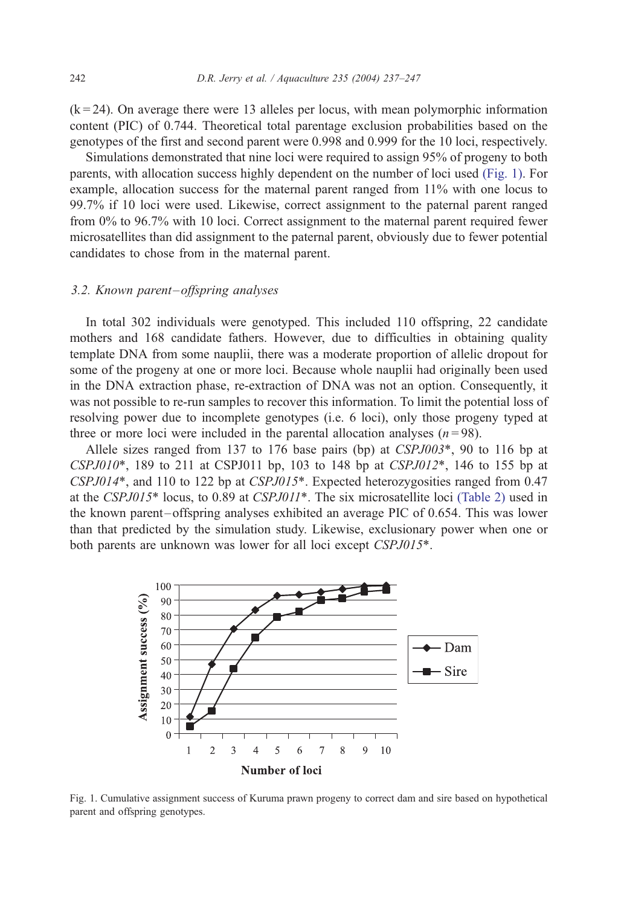$(k = 24)$ . On average there were 13 alleles per locus, with mean polymorphic information content (PIC) of 0.744. Theoretical total parentage exclusion probabilities based on the genotypes of the first and second parent were 0.998 and 0.999 for the 10 loci, respectively.

Simulations demonstrated that nine loci were required to assign 95% of progeny to both parents, with allocation success highly dependent on the number of loci used (Fig. 1). For example, allocation success for the maternal parent ranged from 11% with one locus to 99.7% if 10 loci were used. Likewise, correct assignment to the paternal parent ranged from 0% to 96.7% with 10 loci. Correct assignment to the maternal parent required fewer microsatellites than did assignment to the paternal parent, obviously due to fewer potential candidates to chose from in the maternal parent.

## 3.2. Known parent-offspring analyses

In total 302 individuals were genotyped. This included 110 offspring, 22 candidate mothers and 168 candidate fathers. However, due to difficulties in obtaining quality template DNA from some nauplii, there was a moderate proportion of allelic dropout for some of the progeny at one or more loci. Because whole nauplii had originally been used in the DNA extraction phase, re-extraction of DNA was not an option. Consequently, it was not possible to re-run samples to recover this information. To limit the potential loss of resolving power due to incomplete genotypes (i.e. 6 loci), only those progeny typed at three or more loci were included in the parental allocation analyses  $(n=98)$ .

Allele sizes ranged from 137 to 176 base pairs (bp) at  $CSPJ003^*$ , 90 to 116 bp at  $CSPJ010^*$ , 189 to 211 at CSPJ011 bp, 103 to 148 bp at  $CSPJ012^*$ , 146 to 155 bp at CSPJ014\*, and 110 to 122 bp at CSPJ015\*. Expected heterozygosities ranged from 0.47 at the CSPJ015\* locus, to 0.89 at CSPJ011\*. The six microsatellite loci [\(Table 2\)](#page-6-0) used in the known parent-offspring analyses exhibited an average PIC of 0.654. This was lower than that predicted by the simulation study. Likewise, exclusionary power when one or both parents are unknown was lower for all loci except CSPJ015\*.



Fig. 1. Cumulative assignment success of Kuruma prawn progeny to correct dam and sire based on hypothetical parent and offspring genotypes.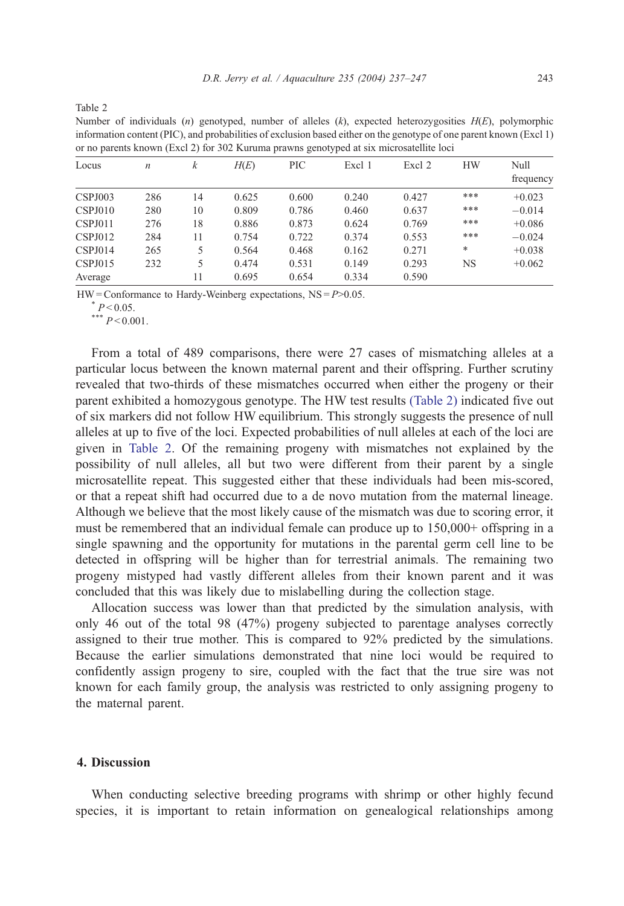<span id="page-6-0"></span>

| ×<br>×<br>× | ×<br>۰, |  |
|-------------|---------|--|
|             |         |  |

Number of individuals (n) genotyped, number of alleles  $(k)$ , expected heterozygosities  $H(E)$ , polymorphic information content (PIC), and probabilities of exclusion based either on the genotype of one parent known (Excl 1) or no parents known (Excl 2) for 302 Kuruma prawns genotyped at six microsatellite loci

| Locus          | $\boldsymbol{n}$ | k  | H(E)  | PIC   | Excl 1 | Excl 2 | <b>HW</b> | Null<br>frequency |
|----------------|------------------|----|-------|-------|--------|--------|-----------|-------------------|
| CSPJ003        | 286              | 14 | 0.625 | 0.600 | 0.240  | 0.427  | ***       | $+0.023$          |
| CSPJ010        | 280              | 10 | 0.809 | 0.786 | 0.460  | 0.637  | ***       | $-0.014$          |
| CSPJ011        | 276              | 18 | 0.886 | 0.873 | 0.624  | 0.769  | ***       | $+0.086$          |
| CSPJ012        | 284              | 11 | 0.754 | 0.722 | 0.374  | 0.553  | ***       | $-0.024$          |
| <b>CSPJ014</b> | 265              | 5. | 0.564 | 0.468 | 0.162  | 0.271  | *         | $+0.038$          |
| CSPJ015        | 232              | 5  | 0.474 | 0.531 | 0.149  | 0.293  | NS        | $+0.062$          |
| Average        |                  | 11 | 0.695 | 0.654 | 0.334  | 0.590  |           |                   |

 $HW =$ Conformance to Hardy-Weinberg expectations,  $NS = P > 0.05$ .

 $* P < 0.05$ .<br>\*\*\*  $P < 0.001$ .

From a total of 489 comparisons, there were 27 cases of mismatching alleles at a particular locus between the known maternal parent and their offspring. Further scrutiny revealed that two-thirds of these mismatches occurred when either the progeny or their parent exhibited a homozygous genotype. The HW test results (Table 2) indicated five out of six markers did not follow HW equilibrium. This strongly suggests the presence of null alleles at up to five of the loci. Expected probabilities of null alleles at each of the loci are given in Table 2. Of the remaining progeny with mismatches not explained by the possibility of null alleles, all but two were different from their parent by a single microsatellite repeat. This suggested either that these individuals had been mis-scored, or that a repeat shift had occurred due to a de novo mutation from the maternal lineage. Although we believe that the most likely cause of the mismatch was due to scoring error, it must be remembered that an individual female can produce up to 150,000+ offspring in a single spawning and the opportunity for mutations in the parental germ cell line to be detected in offspring will be higher than for terrestrial animals. The remaining two progeny mistyped had vastly different alleles from their known parent and it was concluded that this was likely due to mislabelling during the collection stage.

Allocation success was lower than that predicted by the simulation analysis, with only 46 out of the total 98 (47%) progeny subjected to parentage analyses correctly assigned to their true mother. This is compared to 92% predicted by the simulations. Because the earlier simulations demonstrated that nine loci would be required to confidently assign progeny to sire, coupled with the fact that the true sire was not known for each family group, the analysis was restricted to only assigning progeny to the maternal parent.

## 4. Discussion

When conducting selective breeding programs with shrimp or other highly fecund species, it is important to retain information on genealogical relationships among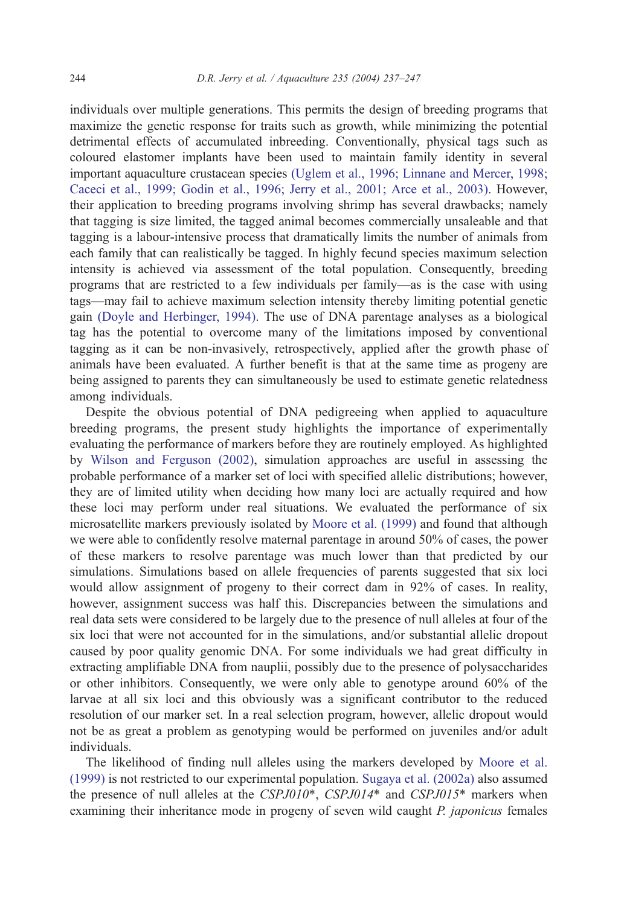individuals over multiple generations. This permits the design of breeding programs that maximize the genetic response for traits such as growth, while minimizing the potential detrimental effects of accumulated inbreeding. Conventionally, physical tags such as coloured elastomer implants have been used to maintain family identity in several important aquaculture crustacean species [\(Uglem et al., 1996; Linnane and Mercer, 1998;](#page-10-0) Caceci et al., 1999; Godin et al., 1996; Jerry et al., 2001; Arce et al., 2003). However, their application to breeding programs involving shrimp has several drawbacks; namely that tagging is size limited, the tagged animal becomes commercially unsaleable and that tagging is a labour-intensive process that dramatically limits the number of animals from each family that can realistically be tagged. In highly fecund species maximum selection intensity is achieved via assessment of the total population. Consequently, breeding programs that are restricted to a few individuals per family—as is the case with using tags—may fail to achieve maximum selection intensity thereby limiting potential genetic gain [\(Doyle and Herbinger, 1994\).](#page-9-0) The use of DNA parentage analyses as a biological tag has the potential to overcome many of the limitations imposed by conventional tagging as it can be non-invasively, retrospectively, applied after the growth phase of animals have been evaluated. A further benefit is that at the same time as progeny are being assigned to parents they can simultaneously be used to estimate genetic relatedness among individuals.

Despite the obvious potential of DNA pedigreeing when applied to aquaculture breeding programs, the present study highlights the importance of experimentally evaluating the performance of markers before they are routinely employed. As highlighted by [Wilson and Ferguson \(2002\),](#page-10-0) simulation approaches are useful in assessing the probable performance of a marker set of loci with specified allelic distributions; however, they are of limited utility when deciding how many loci are actually required and how these loci may perform under real situations. We evaluated the performance of six microsatellite markers previously isolated by [Moore et al. \(1999\)](#page-9-0) and found that although we were able to confidently resolve maternal parentage in around 50% of cases, the power of these markers to resolve parentage was much lower than that predicted by our simulations. Simulations based on allele frequencies of parents suggested that six loci would allow assignment of progeny to their correct dam in 92% of cases. In reality, however, assignment success was half this. Discrepancies between the simulations and real data sets were considered to be largely due to the presence of null alleles at four of the six loci that were not accounted for in the simulations, and/or substantial allelic dropout caused by poor quality genomic DNA. For some individuals we had great difficulty in extracting amplifiable DNA from nauplii, possibly due to the presence of polysaccharides or other inhibitors. Consequently, we were only able to genotype around 60% of the larvae at all six loci and this obviously was a significant contributor to the reduced resolution of our marker set. In a real selection program, however, allelic dropout would not be as great a problem as genotyping would be performed on juveniles and/or adult individuals.

The likelihood of finding null alleles using the markers developed by [Moore et al.](#page-9-0) (1999) is not restricted to our experimental population. [Sugaya et al. \(2002a\)](#page-10-0) also assumed the presence of null alleles at the  $CSPJ010^*$ ,  $CSPJ014^*$  and  $CSPJ015^*$  markers when examining their inheritance mode in progeny of seven wild caught *P. japonicus* females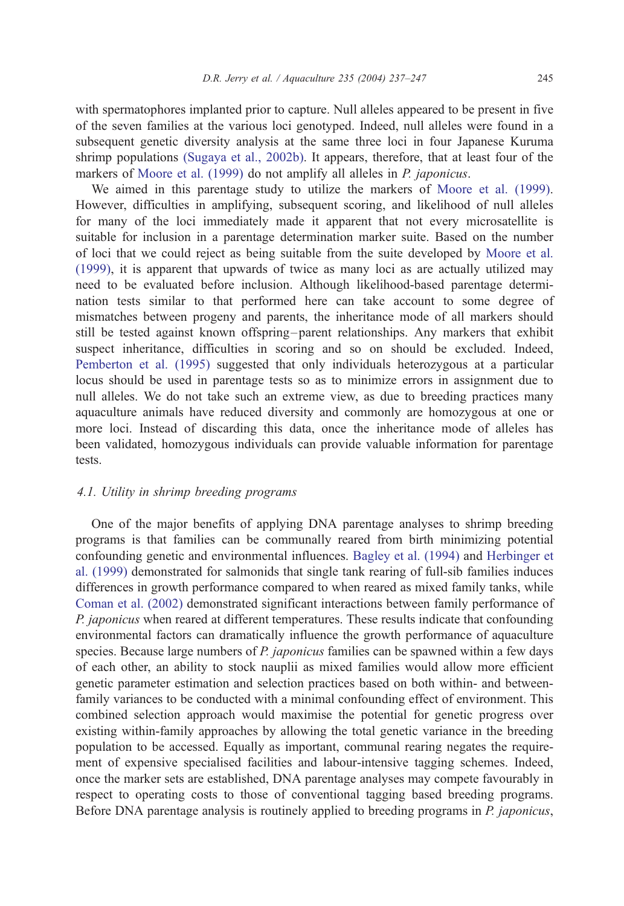with spermatophores implanted prior to capture. Null alleles appeared to be present in five of the seven families at the various loci genotyped. Indeed, null alleles were found in a subsequent genetic diversity analysis at the same three loci in four Japanese Kuruma shrimp populations [\(Sugaya et al., 2002b\).](#page-10-0) It appears, therefore, that at least four of the markers of [Moore et al. \(1999\)](#page-9-0) do not amplify all alleles in *P. japonicus*.

We aimed in this parentage study to utilize the markers of [Moore et al. \(1999\).](#page-9-0) However, difficulties in amplifying, subsequent scoring, and likelihood of null alleles for many of the loci immediately made it apparent that not every microsatellite is suitable for inclusion in a parentage determination marker suite. Based on the number of loci that we could reject as being suitable from the suite developed by [Moore et al.](#page-9-0) (1999), it is apparent that upwards of twice as many loci as are actually utilized may need to be evaluated before inclusion. Although likelihood-based parentage determination tests similar to that performed here can take account to some degree of mismatches between progeny and parents, the inheritance mode of all markers should still be tested against known offspring – parent relationships. Any markers that exhibit suspect inheritance, difficulties in scoring and so on should be excluded. Indeed, [Pemberton et al. \(1995\)](#page-9-0) suggested that only individuals heterozygous at a particular locus should be used in parentage tests so as to minimize errors in assignment due to null alleles. We do not take such an extreme view, as due to breeding practices many aquaculture animals have reduced diversity and commonly are homozygous at one or more loci. Instead of discarding this data, once the inheritance mode of alleles has been validated, homozygous individuals can provide valuable information for parentage tests.

#### 4.1. Utility in shrimp breeding programs

One of the major benefits of applying DNA parentage analyses to shrimp breeding programs is that families can be communally reared from birth minimizing potential confounding genetic and environmental influences. [Bagley et al. \(1994\)](#page-9-0) and [Herbinger et](#page-9-0) al. (1999) demonstrated for salmonids that single tank rearing of full-sib families induces differences in growth performance compared to when reared as mixed family tanks, while [Coman et al. \(2002\)](#page-9-0) demonstrated significant interactions between family performance of P. *japonicus* when reared at different temperatures. These results indicate that confounding environmental factors can dramatically influence the growth performance of aquaculture species. Because large numbers of P. japonicus families can be spawned within a few days of each other, an ability to stock nauplii as mixed families would allow more efficient genetic parameter estimation and selection practices based on both within- and betweenfamily variances to be conducted with a minimal confounding effect of environment. This combined selection approach would maximise the potential for genetic progress over existing within-family approaches by allowing the total genetic variance in the breeding population to be accessed. Equally as important, communal rearing negates the requirement of expensive specialised facilities and labour-intensive tagging schemes. Indeed, once the marker sets are established, DNA parentage analyses may compete favourably in respect to operating costs to those of conventional tagging based breeding programs. Before DNA parentage analysis is routinely applied to breeding programs in P. japonicus,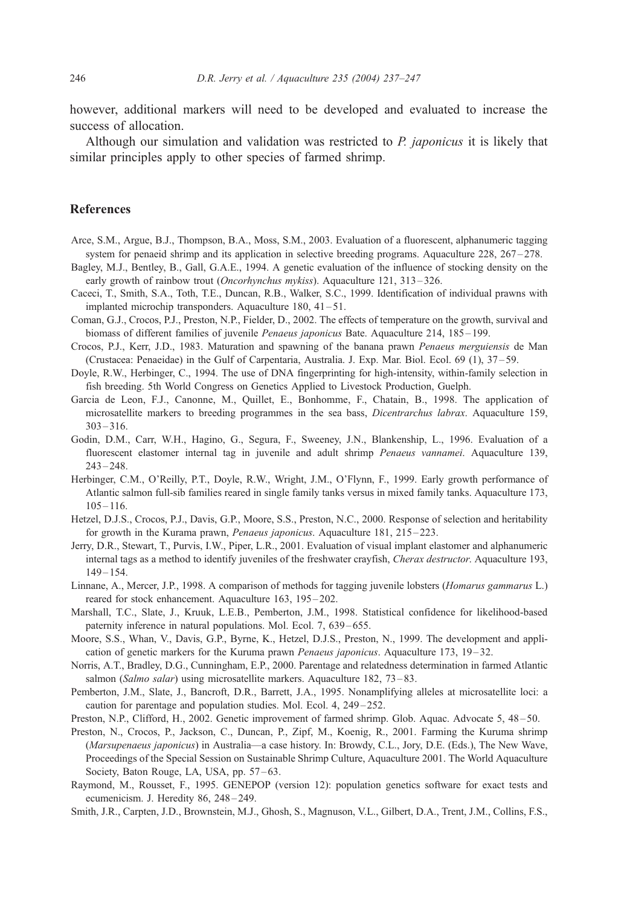<span id="page-9-0"></span>however, additional markers will need to be developed and evaluated to increase the success of allocation.

Although our simulation and validation was restricted to P. japonicus it is likely that similar principles apply to other species of farmed shrimp.

## References

- Arce, S.M., Argue, B.J., Thompson, B.A., Moss, S.M., 2003. Evaluation of a fluorescent, alphanumeric tagging system for penaeid shrimp and its application in selective breeding programs. Aquaculture 228, 267-278.
- Bagley, M.J., Bentley, B., Gall, G.A.E., 1994. A genetic evaluation of the influence of stocking density on the early growth of rainbow trout (Oncorhynchus mykiss). Aquaculture 121, 313-326.
- Caceci, T., Smith, S.A., Toth, T.E., Duncan, R.B., Walker, S.C., 1999. Identification of individual prawns with implanted microchip transponders. Aquaculture 180, 41-51.
- Coman, G.J., Crocos, P.J., Preston, N.P., Fielder, D., 2002. The effects of temperature on the growth, survival and biomass of different families of juvenile Penaeus japonicus Bate. Aquaculture 214, 185-199.
- Crocos, P.J., Kerr, J.D., 1983. Maturation and spawning of the banana prawn Penaeus merguiensis de Man (Crustacea: Penaeidae) in the Gulf of Carpentaria, Australia. J. Exp. Mar. Biol. Ecol. 69 (1), 37 – 59.
- Doyle, R.W., Herbinger, C., 1994. The use of DNA fingerprinting for high-intensity, within-family selection in fish breeding. 5th World Congress on Genetics Applied to Livestock Production, Guelph.
- Garcia de Leon, F.J., Canonne, M., Quillet, E., Bonhomme, F., Chatain, B., 1998. The application of microsatellite markers to breeding programmes in the sea bass, Dicentrarchus labrax. Aquaculture 159,  $303 - 316$ .
- Godin, D.M., Carr, W.H., Hagino, G., Segura, F., Sweeney, J.N., Blankenship, L., 1996. Evaluation of a fluorescent elastomer internal tag in juvenile and adult shrimp Penaeus vannamei. Aquaculture 139,  $243 - 248.$
- Herbinger, C.M., O'Reilly, P.T., Doyle, R.W., Wright, J.M., O'Flynn, F., 1999. Early growth performance of Atlantic salmon full-sib families reared in single family tanks versus in mixed family tanks. Aquaculture 173,  $105 - 116.$
- Hetzel, D.J.S., Crocos, P.J., Davis, G.P., Moore, S.S., Preston, N.C., 2000. Response of selection and heritability for growth in the Kurama prawn, Penaeus japonicus. Aquaculture 181, 215-223.
- Jerry, D.R., Stewart, T., Purvis, I.W., Piper, L.R., 2001. Evaluation of visual implant elastomer and alphanumeric internal tags as a method to identify juveniles of the freshwater crayfish, Cherax destructor. Aquaculture 193, 149 – 154.
- Linnane, A., Mercer, J.P., 1998. A comparison of methods for tagging juvenile lobsters (Homarus gammarus L.) reared for stock enhancement. Aquaculture 163, 195-202.
- Marshall, T.C., Slate, J., Kruuk, L.E.B., Pemberton, J.M., 1998. Statistical confidence for likelihood-based paternity inference in natural populations. Mol. Ecol. 7, 639–655.
- Moore, S.S., Whan, V., Davis, G.P., Byrne, K., Hetzel, D.J.S., Preston, N., 1999. The development and application of genetic markers for the Kuruma prawn *Penaeus japonicus*. Aquaculture  $173$ ,  $19-32$ .
- Norris, A.T., Bradley, D.G., Cunningham, E.P., 2000. Parentage and relatedness determination in farmed Atlantic salmon (Salmo salar) using microsatellite markers. Aquaculture 182, 73–83.
- Pemberton, J.M., Slate, J., Bancroft, D.R., Barrett, J.A., 1995. Nonamplifying alleles at microsatellite loci: a caution for parentage and population studies. Mol. Ecol. 4, 249 – 252.
- Preston, N.P., Clifford, H., 2002. Genetic improvement of farmed shrimp. Glob. Aquac. Advocate 5, 48 50.
- Preston, N., Crocos, P., Jackson, C., Duncan, P., Zipf, M., Koenig, R., 2001. Farming the Kuruma shrimp (Marsupenaeus japonicus) in Australia—a case history. In: Browdy, C.L., Jory, D.E. (Eds.), The New Wave, Proceedings of the Special Session on Sustainable Shrimp Culture, Aquaculture 2001. The World Aquaculture Society, Baton Rouge, LA, USA, pp. 57-63.
- Raymond, M., Rousset, F., 1995. GENEPOP (version 12): population genetics software for exact tests and ecumenicism. J. Heredity 86, 248 – 249.
- Smith, J.R., Carpten, J.D., Brownstein, M.J., Ghosh, S., Magnuson, V.L., Gilbert, D.A., Trent, J.M., Collins, F.S.,